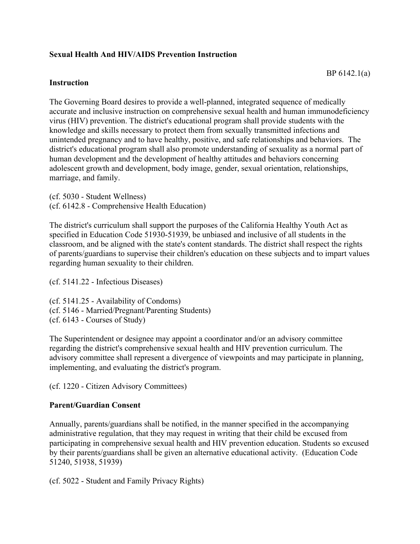## **Sexual Health And HIV/AIDS Prevention Instruction**

## **Instruction**

The Governing Board desires to provide a well-planned, integrated sequence of medically accurate and inclusive instruction on comprehensive sexual health and human immunodeficiency virus (HIV) prevention. The district's educational program shall provide students with the knowledge and skills necessary to protect them from sexually transmitted infections and unintended pregnancy and to have healthy, positive, and safe relationships and behaviors. The district's educational program shall also promote understanding of sexuality as a normal part of human development and the development of healthy attitudes and behaviors concerning adolescent growth and development, body image, gender, sexual orientation, relationships, marriage, and family.

(cf. 5030 - Student Wellness) (cf. 6142.8 - Comprehensive Health Education)

The district's curriculum shall support the purposes of the California Healthy Youth Act as specified in Education Code 51930-51939, be unbiased and inclusive of all students in the classroom, and be aligned with the state's content standards. The district shall respect the rights of parents/guardians to supervise their children's education on these subjects and to impart values regarding human sexuality to their children.

(cf. 5141.22 - Infectious Diseases)

(cf. 5141.25 - Availability of Condoms) (cf. 5146 - Married/Pregnant/Parenting Students) (cf. 6143 - Courses of Study)

The Superintendent or designee may appoint a coordinator and/or an advisory committee regarding the district's comprehensive sexual health and HIV prevention curriculum. The advisory committee shall represent a divergence of viewpoints and may participate in planning, implementing, and evaluating the district's program.

(cf. 1220 - Citizen Advisory Committees)

## **Parent/Guardian Consent**

Annually, parents/guardians shall be notified, in the manner specified in the accompanying administrative regulation, that they may request in writing that their child be excused from participating in comprehensive sexual health and HIV prevention education. Students so excused by their parents/guardians shall be given an alternative educational activity. (Education Code 51240, 51938, 51939)

(cf. 5022 - Student and Family Privacy Rights)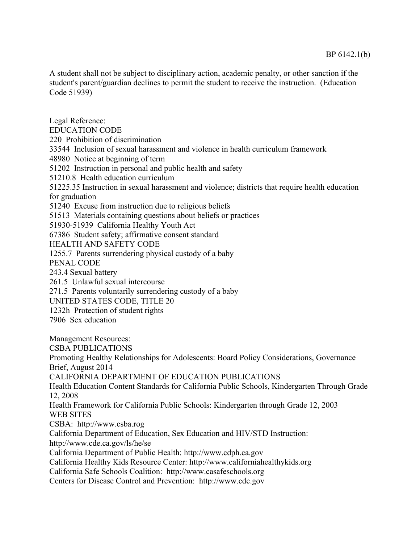A student shall not be subject to disciplinary action, academic penalty, or other sanction if the student's parent/guardian declines to permit the student to receive the instruction. (Education Code 51939)

Legal Reference: EDUCATION CODE 220 Prohibition of discrimination 33544 Inclusion of sexual harassment and violence in health curriculum framework 48980 Notice at beginning of term 51202 Instruction in personal and public health and safety 51210.8 Health education curriculum 51225.35 Instruction in sexual harassment and violence; districts that require health education for graduation 51240 Excuse from instruction due to religious beliefs 51513 Materials containing questions about beliefs or practices 51930-51939 California Healthy Youth Act 67386 Student safety; affirmative consent standard HEALTH AND SAFETY CODE 1255.7 Parents surrendering physical custody of a baby PENAL CODE 243.4 Sexual battery 261.5 Unlawful sexual intercourse 271.5 Parents voluntarily surrendering custody of a baby UNITED STATES CODE, TITLE 20 1232h Protection of student rights 7906 Sex education Management Resources: CSBA PUBLICATIONS Promoting Healthy Relationships for Adolescents: Board Policy Considerations, Governance Brief, August 2014 CALIFORNIA DEPARTMENT OF EDUCATION PUBLICATIONS Health Education Content Standards for California Public Schools, Kindergarten Through Grade 12, 2008 Health Framework for California Public Schools: Kindergarten through Grade 12, 2003 WEB SITES CSBA: http://www.csba.rog California Department of Education, Sex Education and HIV/STD Instruction: http://www.cde.ca.gov/ls/he/se California Department of Public Health: http://www.cdph.ca.gov California Healthy Kids Resource Center: http://www.californiahealthykids.org California Safe Schools Coalition: http://www.casafeschools.org Centers for Disease Control and Prevention: http://www.cdc.gov